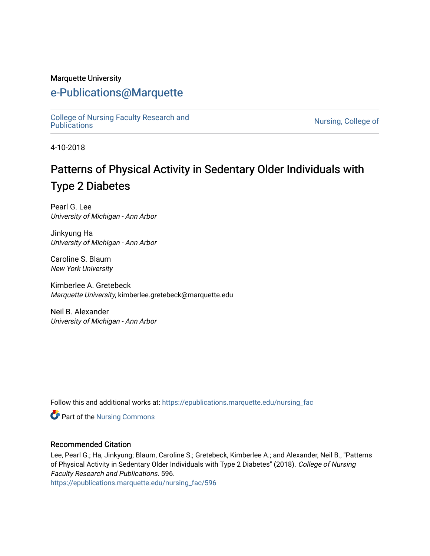# Marquette University

# [e-Publications@Marquette](https://epublications.marquette.edu/)

[College of Nursing Faculty Research and](https://epublications.marquette.edu/nursing_fac)<br>Publications

Nursing, College of

4-10-2018

# Patterns of Physical Activity in Sedentary Older Individuals with Type 2 Diabetes

Pearl G. Lee University of Michigan - Ann Arbor

Jinkyung Ha University of Michigan - Ann Arbor

Caroline S. Blaum New York University

Kimberlee A. Gretebeck Marquette University, kimberlee.gretebeck@marquette.edu

Neil B. Alexander University of Michigan - Ann Arbor

Follow this and additional works at: [https://epublications.marquette.edu/nursing\\_fac](https://epublications.marquette.edu/nursing_fac?utm_source=epublications.marquette.edu%2Fnursing_fac%2F596&utm_medium=PDF&utm_campaign=PDFCoverPages)

Part of the [Nursing Commons](http://network.bepress.com/hgg/discipline/718?utm_source=epublications.marquette.edu%2Fnursing_fac%2F596&utm_medium=PDF&utm_campaign=PDFCoverPages) 

# Recommended Citation

Lee, Pearl G.; Ha, Jinkyung; Blaum, Caroline S.; Gretebeck, Kimberlee A.; and Alexander, Neil B., "Patterns of Physical Activity in Sedentary Older Individuals with Type 2 Diabetes" (2018). College of Nursing Faculty Research and Publications. 596.

[https://epublications.marquette.edu/nursing\\_fac/596](https://epublications.marquette.edu/nursing_fac/596?utm_source=epublications.marquette.edu%2Fnursing_fac%2F596&utm_medium=PDF&utm_campaign=PDFCoverPages)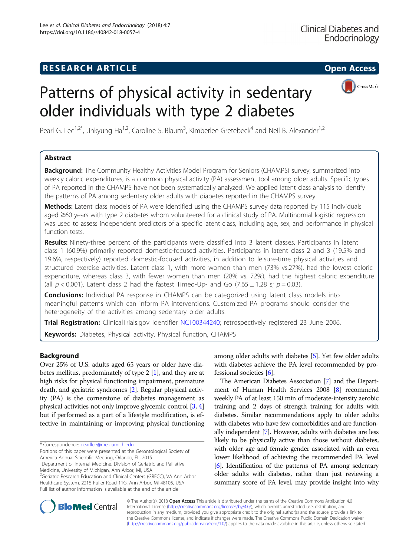# **RESEARCH ARTICLE Example 2014 12:30 The Contract of Contract Contract Contract Contract Contract Contract Contract Contract Contract Contract Contract Contract Contract Contract Contract Contract Contract Contract Contr**

# Patterns of physical activity in sedentary older individuals with type 2 diabetes



Pearl G. Lee<sup>1,2\*</sup>, Jinkyung Ha<sup>1,2</sup>, Caroline S. Blaum<sup>3</sup>, Kimberlee Gretebeck<sup>4</sup> and Neil B. Alexander<sup>1,2</sup>

# Abstract

**Background:** The Community Healthy Activities Model Program for Seniors (CHAMPS) survey, summarized into weekly caloric expenditures, is a common physical activity (PA) assessment tool among older adults. Specific types of PA reported in the CHAMPS have not been systematically analyzed. We applied latent class analysis to identify the patterns of PA among sedentary older adults with diabetes reported in the CHAMPS survey.

Methods: Latent class models of PA were identified using the CHAMPS survey data reported by 115 individuals aged ≥60 years with type 2 diabetes whom volunteered for a clinical study of PA. Multinomial logistic regression was used to assess independent predictors of a specific latent class, including age, sex, and performance in physical function tests.

Results: Ninety-three percent of the participants were classified into 3 latent classes. Participants in latent class 1 (60.9%) primarily reported domestic-focused activities. Participants in latent class 2 and 3 (19.5% and 19.6%, respectively) reported domestic-focused activities, in addition to leisure-time physical activities and structured exercise activities. Latent class 1, with more women than men (73% vs.27%), had the lowest caloric expenditure, whereas class 3, with fewer women than men (28% vs. 72%), had the highest caloric expenditure (all  $p < 0.001$ ). Latent class 2 had the fastest Timed-Up- and Go (7.65  $\pm$  1.28 s;  $p = 0.03$ ).

**Conclusions:** Individual PA response in CHAMPS can be categorized using latent class models into meaningful patterns which can inform PA interventions. Customized PA programs should consider the heterogeneity of the activities among sedentary older adults.

Trial Registration: ClinicalTrials.gov Identifier [NCT00344240;](https://clinicaltrials.gov/ct2/show/NCT00344240) retrospectively registered 23 June 2006.

Keywords: Diabetes, Physical activity, Physical function, CHAMPS

# Background

Over 25% of U.S. adults aged 65 years or older have diabetes mellitus, predominately of type 2 [\[1\]](#page-7-0), and they are at high risks for physical functioning impairment, premature death, and geriatric syndromes [[2\]](#page-7-0). Regular physical activity (PA) is the cornerstone of diabetes management as physical activities not only improve glycemic control [\[3,](#page-7-0) [4](#page-7-0)] but if performed as a part of a lifestyle modification, is effective in maintaining or improving physical functioning

\* Correspondence: [pearllee@med.umich.edu](mailto:pearllee@med.umich.edu)

<sup>1</sup>Department of Internal Medicine, Division of Geriatric and Palliative

Medicine, University of Michigan, Ann Arbor, MI, USA <sup>2</sup>Geriatric Research Education and Clinical Centers (GRECC), VA Ann Arbor

Healthcare System, 2215 Fuller Road 11G, Ann Arbor, MI 48105, USA Full list of author information is available at the end of the article

among older adults with diabetes [[5](#page-7-0)]. Yet few older adults with diabetes achieve the PA level recommended by professional societies [[6](#page-7-0)].

The American Diabetes Association [\[7\]](#page-7-0) and the Department of Human Health Services 2008 [\[8](#page-7-0)] recommend weekly PA of at least 150 min of moderate-intensity aerobic training and 2 days of strength training for adults with diabetes. Similar recommendations apply to older adults with diabetes who have few comorbidities and are functionally independent [[7\]](#page-7-0). However, adults with diabetes are less likely to be physically active than those without diabetes, with older age and female gender associated with an even lower likelihood of achieving the recommended PA level [[6](#page-7-0)]. Identification of the patterns of PA among sedentary older adults with diabetes, rather than just reviewing a summary score of PA level, may provide insight into why



© The Author(s). 2018 Open Access This article is distributed under the terms of the Creative Commons Attribution 4.0 International License [\(http://creativecommons.org/licenses/by/4.0/](http://creativecommons.org/licenses/by/4.0/)), which permits unrestricted use, distribution, and reproduction in any medium, provided you give appropriate credit to the original author(s) and the source, provide a link to the Creative Commons license, and indicate if changes were made. The Creative Commons Public Domain Dedication waiver [\(http://creativecommons.org/publicdomain/zero/1.0/](http://creativecommons.org/publicdomain/zero/1.0/)) applies to the data made available in this article, unless otherwise stated.

Portions of this paper were presented at the Gerontological Society of America Annual Scientific Meeting, Orlando, FL, 2015.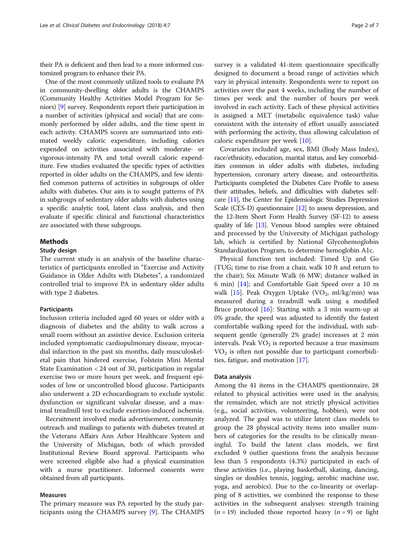their PA is deficient and then lead to a more informed customized program to enhance their PA.

One of the most commonly utilized tools to evaluate PA in community-dwelling older adults is the CHAMPS (Community Healthy Activities Model Program for Seniors) [[9](#page-7-0)] survey. Respondents report their participation in a number of activities (physical and social) that are commonly performed by older adults, and the time spent in each activity. CHAMPS scores are summarized into estimated weekly caloric expenditure, including calories expended on activities associated with moderate- or vigorous-intensity PA and total overall caloric expenditure. Few studies evaluated the specific types of activities reported in older adults on the CHAMPS, and few identified common patterns of activities in subgroups of older adults with diabetes. Our aim is to sought patterns of PA in subgroups of sedentary older adults with diabetes using a specific analytic tool, latent class analysis, and then evaluate if specific clinical and functional characteristics are associated with these subgroups.

# **Methods**

# Study design

The current study is an analysis of the baseline characteristics of participants enrolled in "Exercise and Activity Guidance in Older Adults with Diabetes", a randomized controlled trial to improve PA in sedentary older adults with type 2 diabetes.

# **Participants**

Inclusion criteria included aged 60 years or older with a diagnosis of diabetes and the ability to walk across a small room without an assistive device. Exclusion criteria included symptomatic cardiopulmonary disease, myocardial infarction in the past six months, daily musculoskeletal pain that hindered exercise, Folstein Mini Mental State Examination < 24 out of 30, participation in regular exercise two or more hours per week, and frequent episodes of low or uncontrolled blood glucose. Participants also underwent a 2D echocardiogram to exclude systolic dysfunction or significant valvular disease, and a maximal treadmill test to exclude exertion-induced ischemia.

Recruitment involved media advertisement, community outreach and mailings to patients with diabetes treated at the Veterans Affairs Ann Arbor Healthcare System and the University of Michigan, both of which provided Institutional Review Board approval. Participants who were screened eligible also had a physical examination with a nurse practitioner. Informed consents were obtained from all participants.

# Measures

The primary measure was PA reported by the study participants using the CHAMPS survey [\[9](#page-7-0)]. The CHAMPS survey is a validated 41-item questionnaire specifically designed to document a broad range of activities which vary in physical intensity. Respondents were to report on activities over the past 4 weeks, including the number of times per week and the number of hours per week involved in each activity. Each of these physical activities is assigned a MET (metabolic equivalence task) value consistent with the intensity of effort usually associated with performing the activity, thus allowing calculation of caloric expenditure per week [\[10\]](#page-7-0).

Covariates included age, sex, BMI (Body Mass Index), race/ethnicity, education, marital status, and key comorbidities common in older adults with diabetes, including hypertension, coronary artery disease, and osteoarthritis. Participants completed the Diabetes Care Profile to assess their attitudes, beliefs, and difficulties with diabetes selfcare [\[11\]](#page-7-0), the Center for Epidemiologic Studies Depression Scale (CES-D) questionnaire [\[12](#page-7-0)] to assess depression, and the 12-Item Short Form Health Survey (SF-12) to assess quality of life [[13\]](#page-7-0). Venous blood samples were obtained and processed by the University of Michigan pathology lab, which is certified by National Glycohemoglobin Standardization Program, to determine hemoglobin A1c.

Physical function test included: Timed Up and Go (TUG; time to rise from a chair, walk 10 ft and return to the chair); Six Minute Walk (6 MW; distance walked in 6 min) [[14\]](#page-7-0); and Comfortable Gait Speed over a 10 m walk [\[15\]](#page-7-0). Peak Oxygen Uptake (VO<sub>2</sub>, ml/kg/min) was measured during a treadmill walk using a modified Bruce protocol  $[16]$ : Starting with a 3 min warm-up at 0% grade, the speed was adjusted to identify the fastest comfortable walking speed for the individual, with subsequent gentle (generally 2% grade) increases at 2 min intervals. Peak  $VO<sub>2</sub>$  is reported because a true maximum  $VO<sub>2</sub>$  is often not possible due to participant comorbidities, fatigue, and motivation [[17](#page-7-0)].

#### Data analysis

Among the 41 items in the CHAMPS questionnaire, 28 related to physical activities were used in the analysis; the remainder, which are not strictly physical activities (e.g., social activities, volunteering, hobbies), were not analyzed. The goal was to utilize latent class models to group the 28 physical activity items into smaller numbers of categories for the results to be clinically meaningful. To build the latent class models, we first excluded 9 outlier questions from the analysis because less than 5 respondents (4.3%) participated in each of these activities (i.e., playing basketball, skating, dancing, singles or doubles tennis, jogging, aerobic machine use, yoga, and aerobics). Due to the co-linearity or overlapping of 8 activities, we combined the response to these activities in the subsequent analyses: strength training  $(n = 19)$  included those reported heavy  $(n = 9)$  or light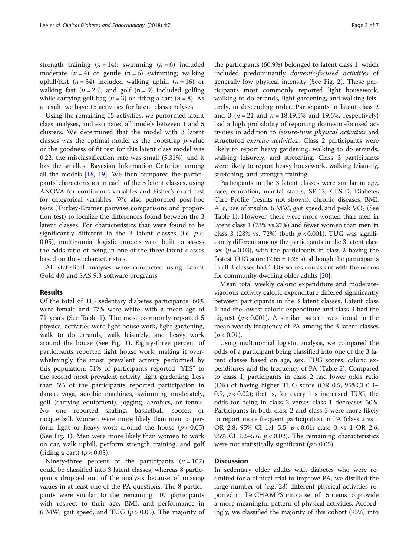strength training  $(n = 14)$ ; swimming  $(n = 6)$  included moderate  $(n = 4)$  or gentle  $(n = 6)$  swimming; walking uphill/fast ( $n = 34$ ) included walking uphill ( $n = 16$ ) or walking fast  $(n = 23)$ ; and golf  $(n = 9)$  included golfing while carrying golf bag ( $n = 3$ ) or riding a cart ( $n = 8$ ). As a result, we have 15 activities for latent class analyses.

Using the remaining 15 activities, we performed latent class analyses, and estimated all models between 1 and 5 clusters. We determined that the model with 3 latent classes was the optimal model as the bootstrap  $p$ -value or the goodness of fit test for this latent class model was 0.22, the misclassification rate was small (5.31%), and it has the smallest Bayesian Information Criterion among all the models [[18](#page-7-0), [19](#page-7-0)]. We then compared the participants' characteristics in each of the 3 latent classes, using ANOVA for continuous variables and Fisher's exact test for categorical variables. We also performed post-hoc tests (Turkey-Kramer pairwise comparisons and proportion test) to localize the differences found between the 3 latent classes. For characteristics that were found to be significantly different in the 3 latent classes (i.e.  $p <$ 0.05), multinomial logistic models were built to assess the odds ratio of being in one of the three latent classes based on these characteristics.

All statistical analyses were conducted using Latent Gold 4.0 and SAS 9.3 software programs.

## Results

Of the total of 115 sedentary diabetes participants, 60% were female and 77% were white, with a mean age of 71 years (See Table [1](#page-4-0)). The most commonly reported 5 physical activities were light house work, light gardening, walk to do errands, walk leisurely, and heavy work around the house (See Fig. [1](#page-5-0)). Eighty-three percent of participants reported light house work, making it overwhelmingly the most prevalent activity performed by this population; 51% of participants reported "YES" to the second most prevalent activity, light gardening. Less than 5% of the participants reported participation in dance, yoga, aerobic machines, swimming moderately, golf (carrying equipment), jogging, aerobics, or tennis. No one reported skating, basketball, soccer, or racquetball. Women were more likely than men to perform light or heavy work around the house  $(p < 0.05)$ (See Fig. [1\)](#page-5-0). Men were more likely than women to work on car, walk uphill, perform strength training, and golf (riding a cart)  $(p < 0.05)$ .

Ninety-three percent of the participants  $(n = 107)$ could be classified into 3 latent classes, whereas 8 participants dropped out of the analysis because of missing values in at least one of the PA questions. The 8 participants were similar to the remaining 107 participants with respect to their age, BMI, and performance in 6 MW, gait speed, and TUG ( $p > 0.05$ ). The majority of

the participants (60.9%) belonged to latent class 1, which included predominantly domestic-focused activities of generally low physical intensity (See Fig. [2](#page-5-0)). These participants most commonly reported light housework, walking to do errands, light gardening, and walking leisurely, in descending order. Participants in latent class 2 and 3 ( $n = 21$  and  $n = 18,19.5%$  and 19.6%, respectively) had a high probability of reporting domestic-focused activities in addition to leisure-time physical activities and structured exercise activities.. Class 2 participants were likely to report heavy gardening, walking to do errands, walking leisurely, and stretching. Class 3 participants were likely to report heavy housework, walking leisurely, stretching, and strength training.

Participants in the 3 latent classes were similar in age, race, education, marital status, SF-12, CES-D, Diabetes Care Profile (results not shown), chronic diseases, BMI, A1c, use of insulin, 6 MW, gait speed, and peak  $VO<sub>2</sub>$  (See Table [1\)](#page-4-0). However, there were more women than men in latent class 1 (73% vs.27%) and fewer women than men in class 3 (28% vs. 72%) (both  $p < 0.001$ ). TUG was significantly different among the participants in the 3 latent classes ( $p = 0.03$ ), with the participants in class 2 having the fastest TUG score  $(7.65 \pm 1.28 \text{ s})$ , although the participants in all 3 classes had TUG scores consistent with the norms for community-dwelling older adults [\[20\]](#page-7-0).

Mean total weekly caloric expenditure and moderatevigorous activity caloric expenditure differed significantly between participants in the 3 latent classes. Latent class 1 had the lowest caloric expenditure and class 3 had the highest ( $p < 0.001$ ). A similar pattern was found in the mean weekly frequency of PA among the 3 latent classes  $(p < 0.01)$ .

Using multinomial logistic analysis, we compared the odds of a participant being classified into one of the 3 latent classes based on age, sex, TUG scores, caloric expenditures and the frequency of PA (Table [2](#page-6-0)). Compared to class 1, participants in class 2 had lower odds ratio (OR) of having higher TUG score (OR 0.5, 95%CI 0.3– 0.9,  $p < 0.02$ ); that is, for every 1 s increased TUG, the odds for being in class 2 verses class 1 decreases 50%. Participants in both class 2 and class 3 were more likely to report more frequent participation in PA (class 2 vs 1 OR 2.8, 95% CI 1.4–5.5, p < 0.01; class 3 vs 1 OR 2.6, 95% CI 1.2–5.6,  $p < 0.02$ ). The remaining characteristics were not statistically significant ( $p > 0.05$ ).

# **Discussion**

In sedentary older adults with diabetes who were recruited for a clinical trial to improve PA, we distilled the large number of (e.g. 28) different physical activities reported in the CHAMPS into a set of 15 items to provide a more meaningful pattern of physical activities. Accordingly, we classified the majority of this cohort (93%) into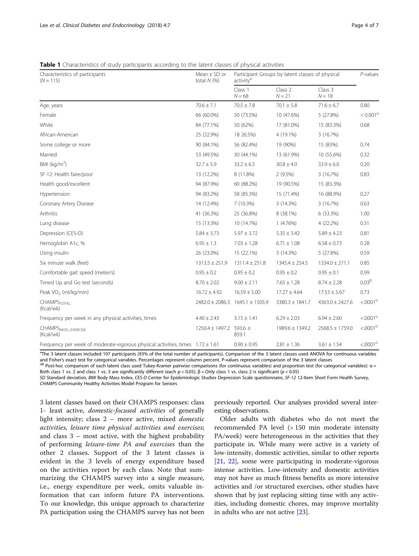<span id="page-4-0"></span>

| <b>Table 1</b> Characteristics of study participants according to the latent classes of physical activities |  |  |  |  |
|-------------------------------------------------------------------------------------------------------------|--|--|--|--|
|                                                                                                             |  |  |  |  |

| Characteristics of participants<br>$(N = 115)$                                     | Mean $\pm$ SD or<br>total $N$ (%) | Participant Groups by latent classes of physical<br>activity <sup>a</sup> |                     |                                |                      |  |
|------------------------------------------------------------------------------------|-----------------------------------|---------------------------------------------------------------------------|---------------------|--------------------------------|----------------------|--|
|                                                                                    |                                   | Class 1<br>$N = 68$                                                       | Class 2<br>$N = 21$ | Class <sub>3</sub><br>$N = 18$ |                      |  |
| Age, years                                                                         | $70.6 \pm 7.1$                    | $70.5 \pm 7.8$                                                            | $70.1 \pm 5.8$      | $71.6 \pm 6.7$                 | 0.80                 |  |
| Female                                                                             | 66 (60.0%)                        | 50 (73.5%)                                                                | 10 (47.6%)          | 5 (27.8%)                      | $< 0.001^{\alpha}$   |  |
| White                                                                              | 84 (77.1%)                        | 50 (62%)                                                                  | 17 (81.0%)          | 15 (83.3%)                     | 0.68                 |  |
| African-American                                                                   | 25 (22.9%)                        | 18 26.5%)                                                                 | 4 (19.1%)           | 3 (16.7%)                      |                      |  |
| Some college or more                                                               | 90 (84.1%)                        | 56 (82.4%)                                                                | 19 (90%)            | 15 (83%)                       | 0.74                 |  |
| Married                                                                            | 53 (49.5%)                        | 30 (44.1%)                                                                | 13 (61.9%)          | 10 (55.6%)                     | 0.32                 |  |
| BMI ( $kg/m2$ )                                                                    | $32.7 \pm 5.9$                    | $33.2 \pm 6.5$                                                            | $30.8 \pm 4.0$      | $33.9 \pm 6.0$                 | 0.20                 |  |
| SF-12: Health faire/poor                                                           | 13 (12.2%)                        | 8 (11.8%)                                                                 | 2(9.5%)             | 3 (16.7%)                      | 0.83                 |  |
| Health good/excellent                                                              | 94 (87.9%)                        | 60 (88.2%)                                                                | 19 (90.5%)          | 15 (83.3%)                     |                      |  |
| Hypertension                                                                       | 94 (83.2%)                        | 58 (85.3%)                                                                | 15 (71.4%)          | 16 (88.9%)                     | 0.27                 |  |
| Coronary Artery Disease                                                            | 14 (12.4%)                        | 7 (10.3%)                                                                 | 3 (14.3%)           | 3 (16.7%)                      | 0.63                 |  |
| Arthritis                                                                          | 41 (36.3%)                        | 25 (36.8%)                                                                | 8 (38.1%)           | 6 (33.3%)                      | 1.00                 |  |
| Lung disease                                                                       | 15 (13.3%)                        | 10 (14.7%)                                                                | $1(4.76\%)$         | 4 (22.2%)                      | 0.31                 |  |
| Depression (CES-D)                                                                 | $5.84 \pm 3.73$                   | $5.97 \pm 3.72$                                                           | $5.35 \pm 3.42$     | $5.89 \pm 4.23$                | 0.81                 |  |
| Hemoglobin A1c, %                                                                  | $6.95 \pm 1.3$                    | $7.03 \pm 1.28$                                                           | $6.71 \pm 1.08$     | $6.58 \pm 0.73$                | 0.28                 |  |
| Using insulin                                                                      | 26 (23.0%)                        | 15 (22.1%)                                                                | 3 (14.3%)           | 5 (27.8%)                      | 0.59                 |  |
| Six minute walk (feet)                                                             | $1313.5 \pm 251.9$                | $1311.4 \pm 251.8$                                                        | $1345.4 \pm 254.5$  | $1334.0 \pm 271.1$             | 0.85                 |  |
| Comfortable gait speed (meter/s)                                                   | $0.95 \pm 0.2$                    | $0.95 \pm 0.2$                                                            | $0.95 \pm 0.2$      | $0.95 \pm 0.1$                 | 0.99                 |  |
| Timed Up and Go test (seconds)                                                     | $8.70 \pm 2.02$                   | $9.00 \pm 2.11$                                                           | $7.65 \pm 1.28$     | $8.74 \pm 2.28$                | $0.03^{\beta}$       |  |
| Peak VO <sub>2</sub> (ml/kg/min)                                                   | $16.72 \pm 4.92$                  | $16.59 \pm 5.00$                                                          | $17.27 \pm 4.64$    | $17.53 \pm 5.67$               | 0.73                 |  |
| <b>CHAMPS<sub>TOTAL</sub></b><br>(Kcal/wk)                                         | $2482.0 \pm 2086.3$               | $1645.1 \pm 1505.9$                                                       | $3380.3 \pm 1841.7$ | $4363.0 \pm 2427.6$            | $< 0.001^\alpha$     |  |
| Frequency per week in any physical activities, times                               | $4.40 \pm 2.43$                   | $3.15 \pm 1.41$                                                           | $6.29 \pm 2.03$     | $6.94 \pm 2.60$                | $<.0001^\alpha$      |  |
| CHAMPS <sub>MOD_EXERCISE</sub><br>(Kcal/wk)                                        | $1250.4 \pm 1497.2$               | 593.6 ±<br>859.1                                                          | $1989.6 \pm 1349.2$ | $2568.5 \pm 1759.0$            | $< 0.001\alpha$      |  |
| Frequency per week of moderate-vigorous physical activities, times $1.72 \pm 1.61$ |                                   | $0.90 \pm 0.95$                                                           | $2.81 \pm 1.36$     | $3.61 \pm 1.54$                | < 0.001 <sup>a</sup> |  |

<sup>a</sup>The 3 latent classes included 107 participants (93% of the total number of participants). Comparison of the 3 latent classes used ANOVA for continuous variables and Fisher's exact test for categorical variables. Percentages represent column percent. P-values represent comparison of the 3 latent classes<br><sup>qβ</sup> Post-hoc comparison of each latent class used Tukey-Kramer pairwise compa

Both class 1 vs. 2 and class 1 vs. 3 are significantly different (each  $p < 0.05$ ); β = Only class 1 vs. class 2 is significant ( $p < 0.05$ )

SD Standard deviation, BMI Body Mass Index, CES-D Center for Epidemiologic Studies Depression Scale questionnaire, SF-12 12-Item Short Form Health Survey, CHAMPS Community Healthy Activities Model Program for Seniors

3 latent classes based on their CHAMPS responses: class 1- least active, domestic-focused activities of generally light intensity; class 2 – more active, mixed domestic activities, leisure time physical activities and exercises; and class 3 – most active, with the highest probability of performing leisure-time PA and exercises than the other 2 classes. Support of the 3 latent classes is evident in the 3 levels of energy expenditure based on the activities report by each class. Note that summarizing the CHAMPS survey into a single measure, i.e., energy expenditure per week, omits valuable information that can inform future PA interventions. To our knowledge, this unique approach to characterize PA participation using the CHAMPS survey has not been

previously reported. Our analyses provided several interesting observations.

Older adults with diabetes who do not meet the recommended PA level (> 150 min moderate intensity PA/week) were heterogeneous in the activities that they participate in. While many were active in a variety of low-intensity, domestic activities, similar to other reports [[21,](#page-7-0) [22](#page-7-0)], some were participating in moderate-vigorous intense activities. Low-intensity and domestic activities may not have as much fitness benefits as more intensive activities and /or structured exercises, other studies have shown that by just replacing sitting time with any activities, including domestic chores, may improve mortality in adults who are not active [[23\]](#page-7-0).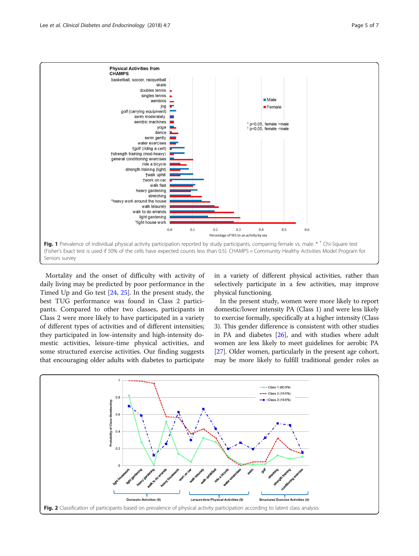<span id="page-5-0"></span>

Mortality and the onset of difficulty with activity of daily living may be predicted by poor performance in the Timed Up and Go test [\[24](#page-7-0), [25](#page-7-0)]. In the present study, the best TUG performance was found in Class 2 participants. Compared to other two classes, participants in Class 2 were more likely to have participated in a variety of different types of activities and of different intensities; they participated in low-intensity and high-intensity domestic activities, leisure-time physical activities, and some structured exercise activities. Our finding suggests that encouraging older adults with diabetes to participate

in a variety of different physical activities, rather than selectively participate in a few activities, may improve physical functioning.

In the present study, women were more likely to report domestic/lower intensity PA (Class 1) and were less likely to exercise formally, specifically at a higher intensity (Class 3). This gender difference is consistent with other studies in PA and diabetes [\[26](#page-7-0)], and with studies where adult women are less likely to meet guidelines for aerobic PA [[27](#page-7-0)]. Older women, particularly in the present age cohort, may be more likely to fulfill traditional gender roles as

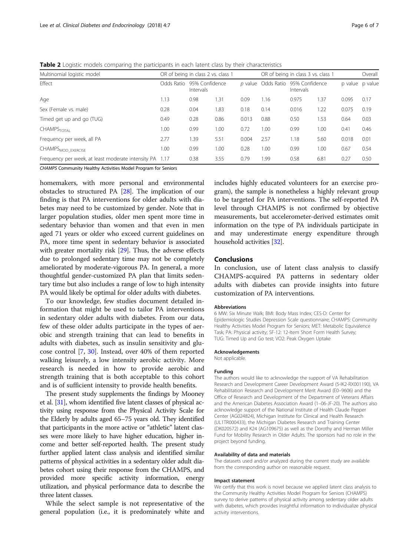<span id="page-6-0"></span>**Table 2** Logistic models comparing the participants in each latent class by their characteristics

| Multinomial logistic model                              | OR of being in class 2 vs. class 1 |                             |      |                | OR of being in class 3 vs. class 1 |                             |      |                 | Overall |
|---------------------------------------------------------|------------------------------------|-----------------------------|------|----------------|------------------------------------|-----------------------------|------|-----------------|---------|
| Effect                                                  | Odds Ratio                         | 95% Confidence<br>Intervals |      | <i>p</i> value | Odds Ratio                         | 95% Confidence<br>Intervals |      | p value p value |         |
| Age                                                     | 1.13                               | 0.98                        | 1.31 | 0.09           | 1.16                               | 0.975                       | 1.37 | 0.095           | 0.17    |
| Sex (Female vs. male)                                   | 0.28                               | 0.04                        | 1.83 | 0.18           | 0.14                               | 0.016                       | 1.22 | 0.075           | 0.19    |
| Timed get up and go (TUG)                               | 0.49                               | 0.28                        | 0.86 | 0.013          | 0.88                               | 0.50                        | 1.53 | 0.64            | 0.03    |
| CHAMPS <sub>TOTAL</sub>                                 | 1.00                               | 0.99                        | 1.00 | 0.72           | 1.00                               | 0.99                        | 1.00 | 0.41            | 0.46    |
| Frequency per week, all PA                              | 2.77                               | 1.39                        | 5.51 | 0.004          | 2.57                               | 1.18                        | 5.60 | 0.018           | 0.01    |
| <b>CHAMPS</b> <sub>MOD_EXERCISE</sub>                   | 1.00                               | 0.99                        | 1.00 | 0.28           | 1.00                               | 0.99                        | 1.00 | 0.67            | 0.54    |
| Frequency per week, at least moderate intensity PA 1.17 |                                    | 0.38                        | 3.55 | 0.79           | 1.99                               | 0.58                        | 6.81 | 0.27            | 0.50    |

CHAMPS Community Healthy Activities Model Program for Seniors

homemakers, with more personal and environmental obstacles to structured PA [[28\]](#page-7-0). The implication of our finding is that PA interventions for older adults with diabetes may need to be customized by gender. Note that in larger population studies, older men spent more time in sedentary behavior than women and that even in men aged 71 years or older who exceed current guidelines on PA, more time spent in sedentary behavior is associated with greater mortality risk [[29](#page-7-0)]. Thus, the adverse effects due to prolonged sedentary time may not be completely ameliorated by moderate-vigorous PA. In general, a more thoughtful gender-customized PA plan that limits sedentary time but also includes a range of low to high intensity PA would likely be optimal for older adults with diabetes.

To our knowledge, few studies document detailed information that might be used to tailor PA interventions in sedentary older adults with diabetes. From our data, few of these older adults participate in the types of aerobic and strength training that can lead to benefits in adults with diabetes, such as insulin sensitivity and glucose control [\[7,](#page-7-0) [30](#page-7-0)]. Instead, over 40% of them reported walking leisurely, a low intensity aerobic activity. More research is needed in how to provide aerobic and strength training that is both acceptable to this cohort and is of sufficient intensity to provide health benefits.

The present study supplements the findings by Mooney et al. [\[31](#page-7-0)], whom identified five latent classes of physical activity using response from the Physical Activity Scale for the Elderly by adults aged 65–75 years old. They identified that participants in the more active or "athletic" latent classes were more likely to have higher education, higher income and better self-reported health. The present study further applied latent class analysis and identified similar patterns of physical activities in a sedentary older adult diabetes cohort using their response from the CHAMPS, and provided more specific activity information, energy utilization, and physical performance data to describe the three latent classes.

While the select sample is not representative of the general population (i.e., it is predominately white and

includes highly educated volunteers for an exercise program), the sample is nonetheless a highly relevant group to be targeted for PA interventions. The self-reported PA level through CHAMPS is not confirmed by objective measurements, but accelerometer-derived estimates omit information on the type of PA individuals participate in and may underestimate energy expenditure through household activities [\[32\]](#page-7-0).

# Conclusions

In conclusion, use of latent class analysis to classify CHAMPS-acquired PA patterns in sedentary older adults with diabetes can provide insights into future customization of PA interventions.

#### Abbreviations

6 MW: Six Minute Walk; BMI: Body Mass Index; CES-D: Center for Epidemiologic Studies Depression Scale questionnaire; CHAMPS: Community Healthy Activities Model Program for Seniors; MET: Metabolic Equivalence Task; PA: Physical activity; SF-12: 12-Item Short Form Health Survey; TUG: Timed Up and Go test; VO2: Peak Oxygen Uptake

#### Acknowledgements

Not applicable

## Funding

The authors would like to acknowledge the support of VA Rehabilitation Research and Development Career Development Award (5-IK2-RX001190), VA Rehabilitation Research and Development Merit Award (E0–9606) and the Office of Research and Development of the Department of Veterans Affairs and the American Diabetes Association Award (1–06-JF-20). The authors also acknowledge support of the National Institute of Health Claude Pepper Center (AG024824), Michigan Institute for Clinical and Health Research (UL1TR000433), the Michigan Diabetes Research and Training Center (DK020572) and K24 (AG109675) as well as the Dorothy and Herman Miller Fund for Mobility Research in Older Adults. The sponsors had no role in the project beyond funding.

# Availability of data and materials

The datasets used and/or analyzed during the current study are available from the corresponding author on reasonable request.

#### Impact statement

We certify that this work is novel because we applied latent class analysis to the Community Healthy Activities Model Program for Seniors (CHAMPS) survey to derive patterns of physical activity among sedentary older adults with diabetes, which provides insightful information to individualize physical activity interventions.